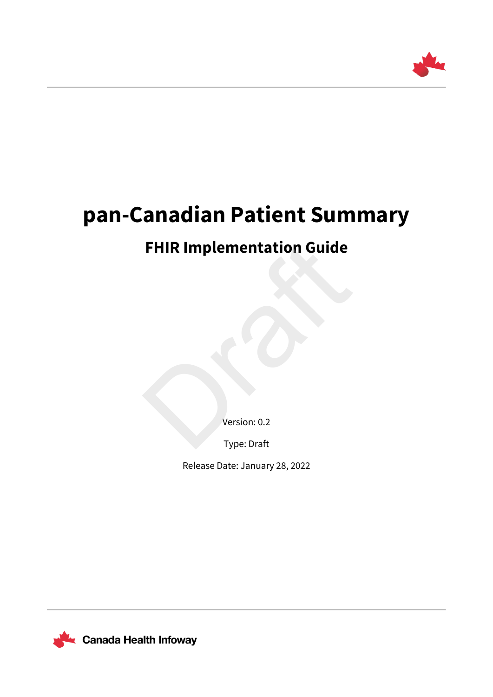

# **pan-Canadian Patient Summary**

# **FHIR Implementation Guide** FHIR Implementation Guide

Version: 0.2

Type: Draft

Release Date: January 28, 2022

Canada Health Infoway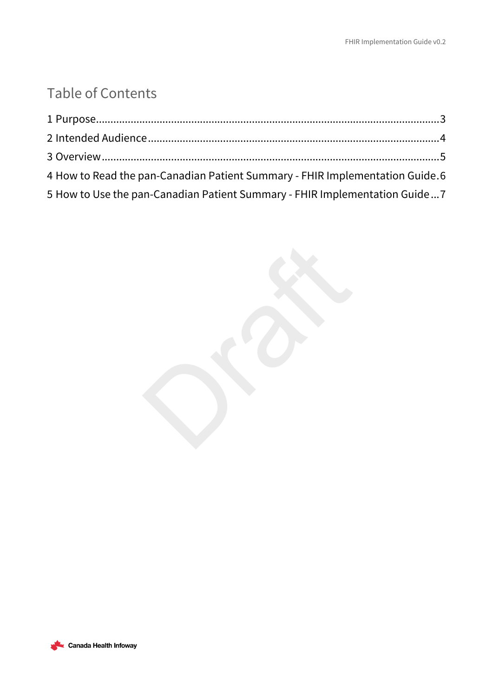## Table of Contents

| 4 How to Read the pan-Canadian Patient Summary - FHIR Implementation Guide.6 |  |
|------------------------------------------------------------------------------|--|
| 5 How to Use the pan-Canadian Patient Summary - FHIR Implementation Guide7   |  |



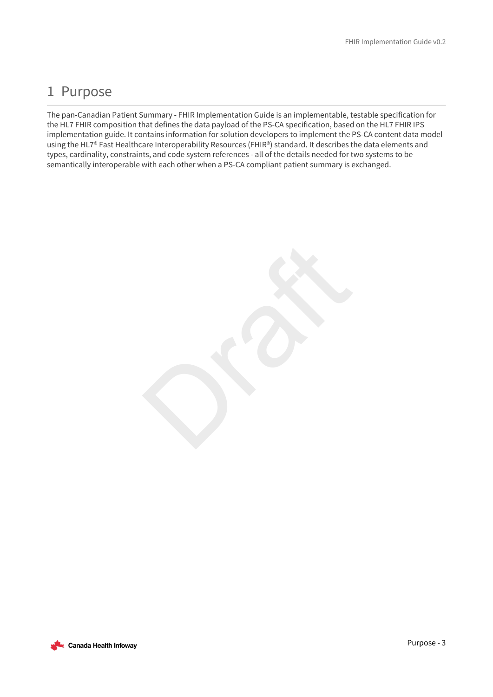### <span id="page-2-0"></span>1 Purpose

The pan-Canadian Patient Summary - FHIR Implementation Guide is an implementable, testable specification for the HL7 FHIR composition that defines the data payload of the PS-CA specification, based on the HL7 FHIR IPS implementation guide. It contains information for solution developers to implement the PS-CA content data model using the HL7® Fast Healthcare Interoperability Resources (FHIR®) standard. It describes the data elements and types, cardinality, constraints, and code system references - all of the details needed for two systems to be semantically interoperable with each other when a PS-CA compliant patient summary is exchanged.

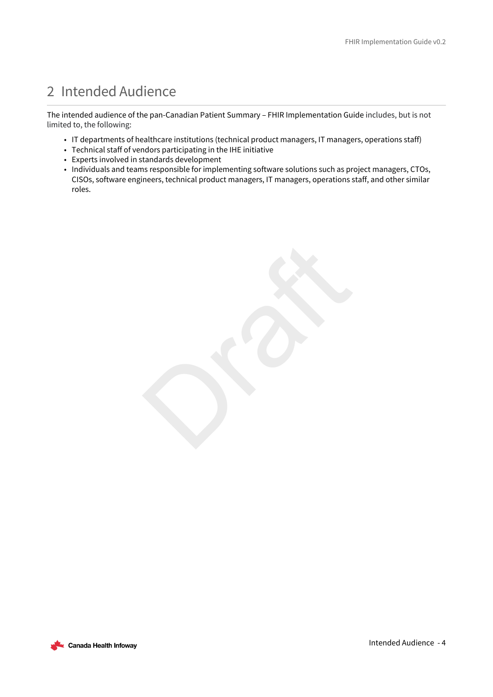## <span id="page-3-0"></span>2 Intended Audience

The intended audience of the pan-Canadian Patient Summary – FHIR Implementation Guide includes, but is not limited to, the following:

- IT departments of healthcare institutions (technical product managers, IT managers, operations staff)
- Technical staff of vendors participating in the IHE initiative
- Experts involved in standards development
- Individuals and teams responsible for implementing software solutions such as project managers, CTOs, CISOs, software engineers, technical product managers, IT managers, operations staff, and other similar roles.

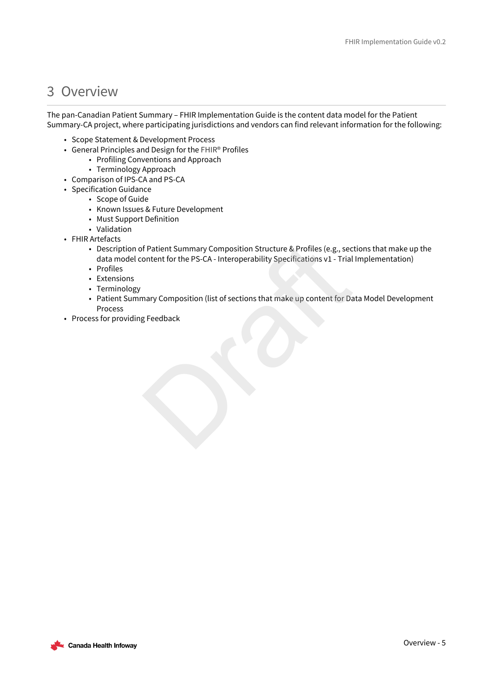### <span id="page-4-0"></span>3 Overview

The pan-Canadian Patient Summary – FHIR Implementation Guide is the content data model for the Patient Summary-CA project, where participating jurisdictions and vendors can find relevant information for the following:

- Scope Statement & Development Process
- General Principles and Design for the FHIR® Profiles
	- Profiling Conventions and Approach
	- Terminology Approach
- Comparison of IPS-CA and PS-CA
- Specification Guidance
	- Scope of Guide
	- Known Issues & Future Development
	- Must Support Definition
	- Validation
- FHIR Artefacts
	- Description of Patient Summary Composition Structure & Profiles (e.g., sections that make up the data model content for the PS-CA - Interoperability Specifications v1 - Trial Implementation)
	- Profiles
	- Extensions
	- Terminology
	- Patient Summary Composition (list of sections that make up content for Data Model Development Process f Patient Summary Composition Structure & Profiles (e.g., secontent for the PS-CA - Interoperability Specifications v1 - Trial<br>mary Composition (list of sections that make up content for Da<br>g Feedback
- Process for providing Feedback

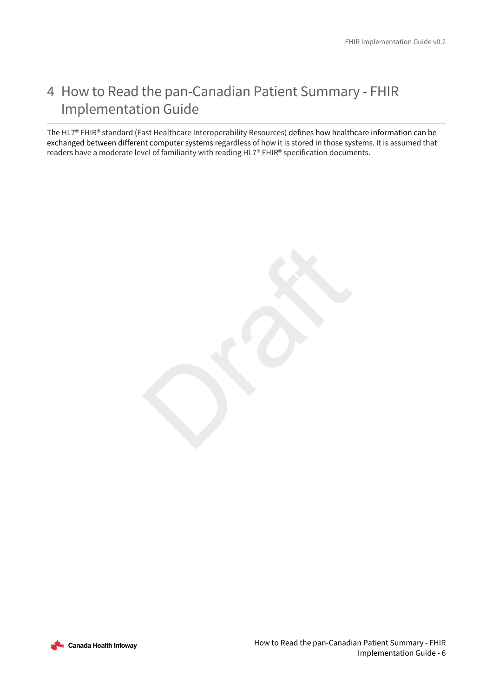### <span id="page-5-0"></span>4 How to Read the pan-Canadian Patient Summary - FHIR Implementation Guide

The HL7® FHIR® standard (Fast Healthcare Interoperability Resources) defines how healthcare information can be exchanged between different computer systems regardless of how it is stored in those systems. It is assumed that readers have a moderate level of familiarity with reading HL7® FHIR® specification documents.